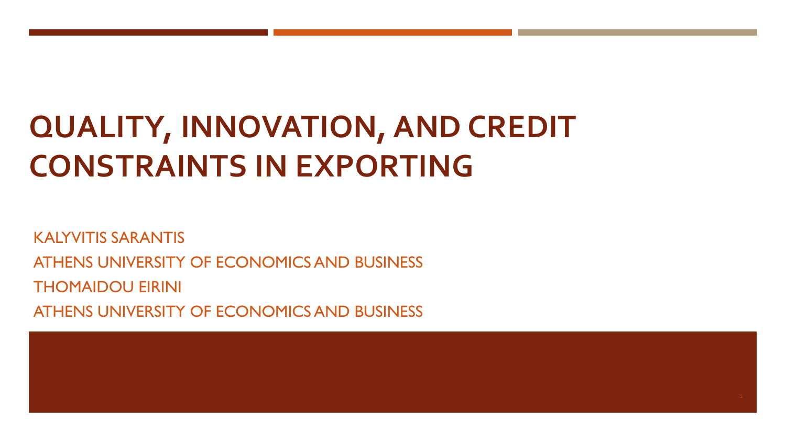# **QUALITY, INNOVATION, AND CREDIT CONSTRAINTS IN EXPORTING**

KALYVITIS SARANTIS ATHENS UNIVERSITY OF ECONOMICS AND BUSINESS THOMAIDOU EIRINI ATHENS UNIVERSITY OF ECONOMICS AND BUSINESS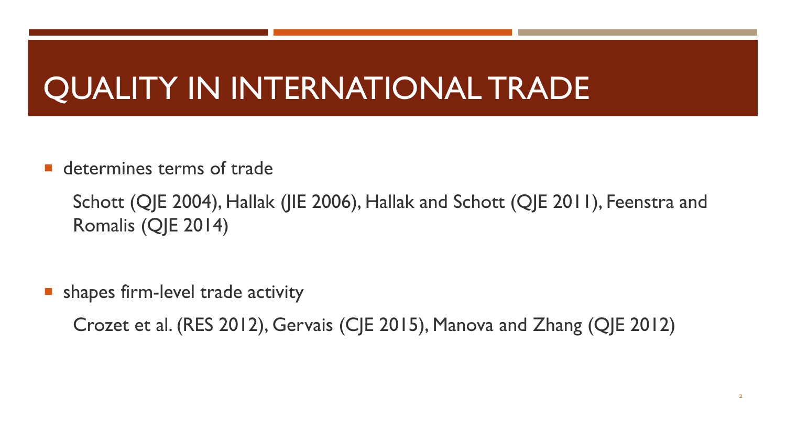### QUALITY IN INTERNATIONAL TRADE

**determines terms of trade** 

Schott (QJE 2004), Hallak (JIE 2006), Hallak and Schott (QJE 2011), Feenstra and Romalis (QJE 2014)

**shapes firm-level trade activity** 

Crozet et al. (RES 2012), Gervais (CJE 2015), Manova and Zhang (QJE 2012)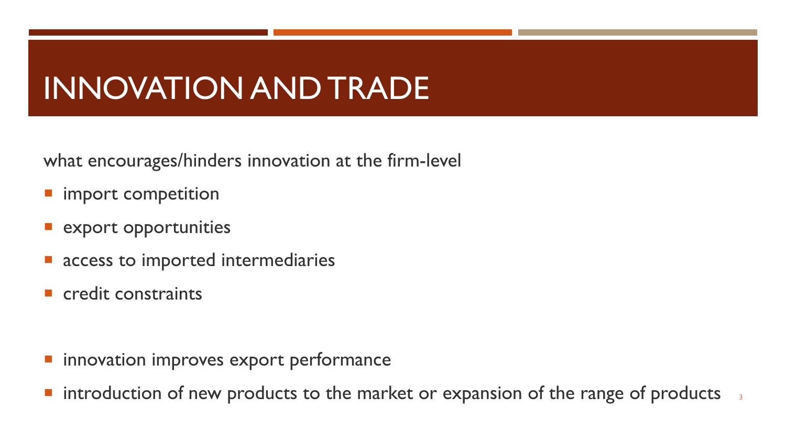#### INNOVATION AND TRADE

what encourages/hinders innovation at the firm-level

- import competition
- export opportunities
- access to imported intermediaries
- **E** credit constraints

- **Innovation improves export performance**
- $\blacksquare$  introduction of new products to the market or expansion of the range of products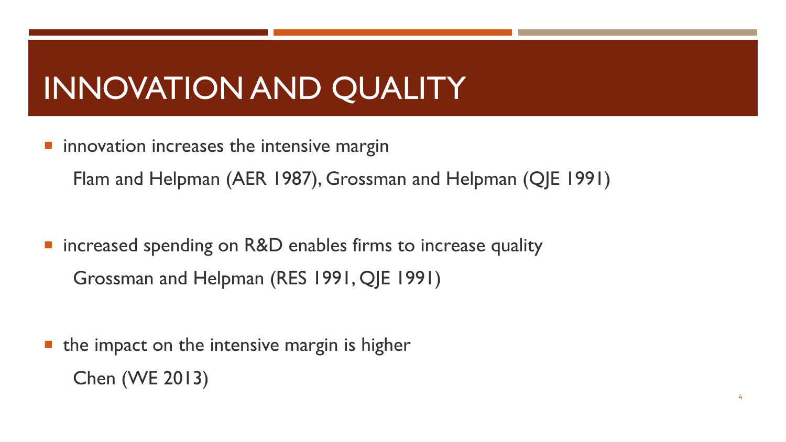# INNOVATION AND QUALITY

innovation increases the intensive margin

Flam and Helpman (AER 1987), Grossman and Helpman (QJE 1991)

■ increased spending on R&D enables firms to increase quality Grossman and Helpman (RES 1991, QJE 1991)

 $\blacksquare$  the impact on the intensive margin is higher Chen (WE 2013)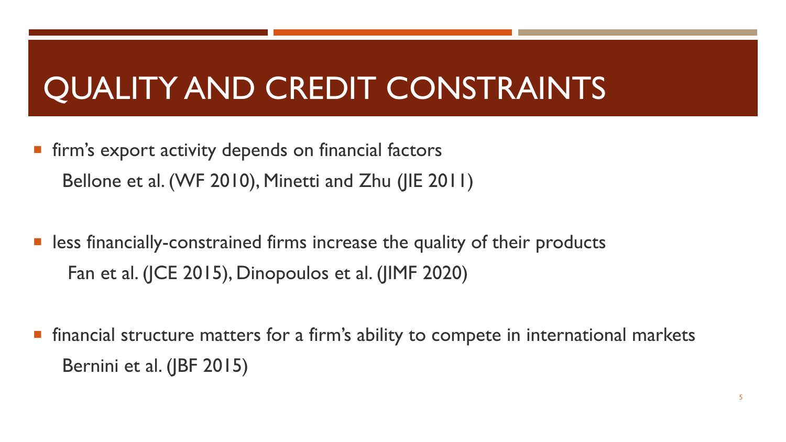# QUALITY AND CREDIT CONSTRAINTS

- **Firm's export activity depends on financial factors** Bellone et al. (WF 2010), Minetti and Zhu (JIE 2011)
- less financially-constrained firms increase the quality of their products Fan et al. (JCE 2015), Dinopoulos et al. (JIMF 2020)
- financial structure matters for a firm's ability to compete in international markets Bernini et al. (JBF 2015)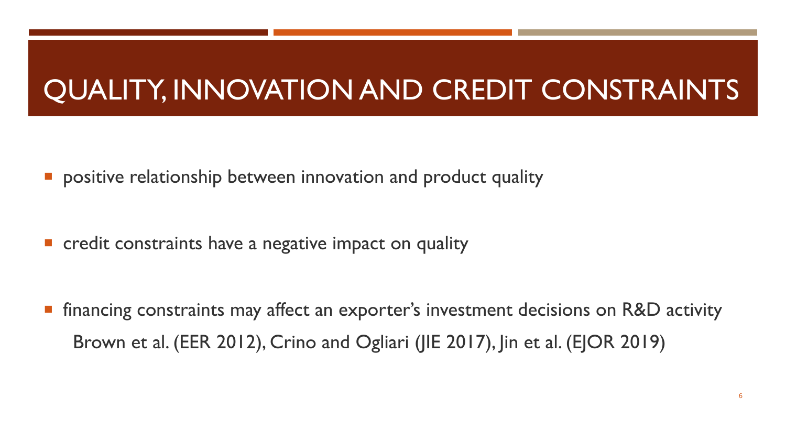#### QUALITY, INNOVATION AND CREDIT CONSTRAINTS

**•** positive relationship between innovation and product quality

**E** credit constraints have a negative impact on quality

**F** financing constraints may affect an exporter's investment decisions on R&D activity Brown et al. (EER 2012), Crino and Ogliari (JIE 2017), Jin et al. (EJOR 2019)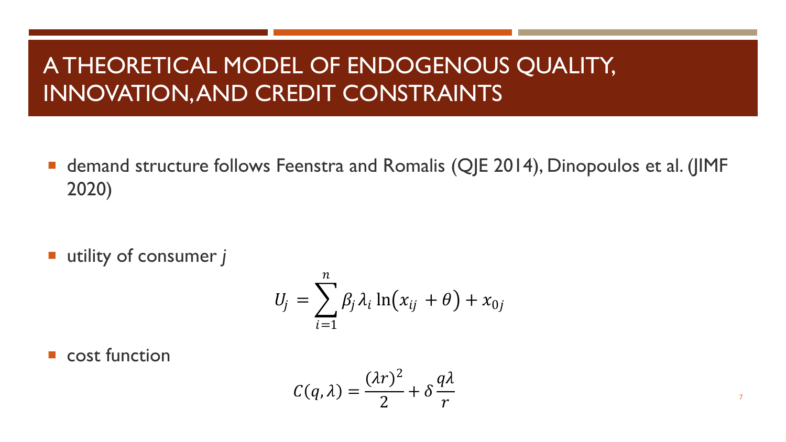#### A THEORETICAL MODEL OF ENDOGENOUS QUALITY, INNOVATION, AND CREDIT CONSTRAINTS

■ demand structure follows Feenstra and Romalis (QJE 2014), Dinopoulos et al. (JIMF 2020)

utility of consumer *j*

$$
U_j = \sum_{i=1}^n \beta_j \lambda_i \ln(x_{ij} + \theta) + x_{0j}
$$

**Cost function** 

$$
C(q,\lambda) = \frac{(\lambda r)^2}{2} + \delta \frac{q\lambda}{r}
$$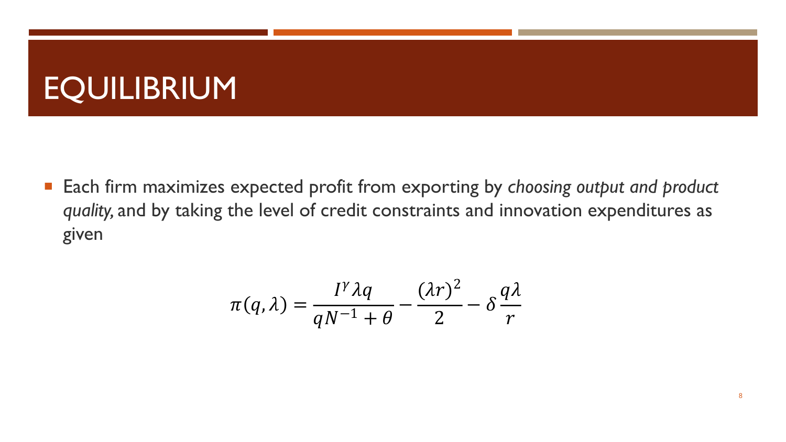#### EQUILIBRIUM

■ Each firm maximizes expected profit from exporting by *choosing output and product quality,* and by taking the level of credit constraints and innovation expenditures as given

$$
\pi(q,\lambda) = \frac{I^{\gamma} \lambda q}{qN^{-1} + \theta} - \frac{(\lambda r)^2}{2} - \delta \frac{q\lambda}{r}
$$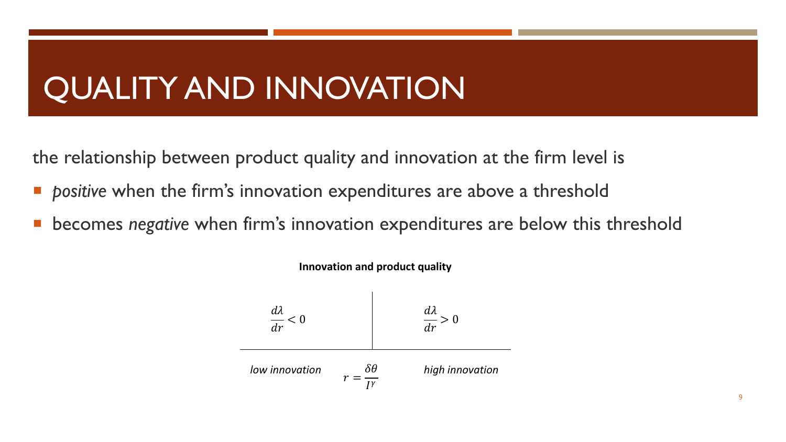### QUALITY AND INNOVATION

the relationship between product quality and innovation at the firm level is

- *positive* when the firm's innovation expenditures are above a threshold
- becomes *negative* when firm's innovation expenditures are below this threshold



**Innovation and product quality**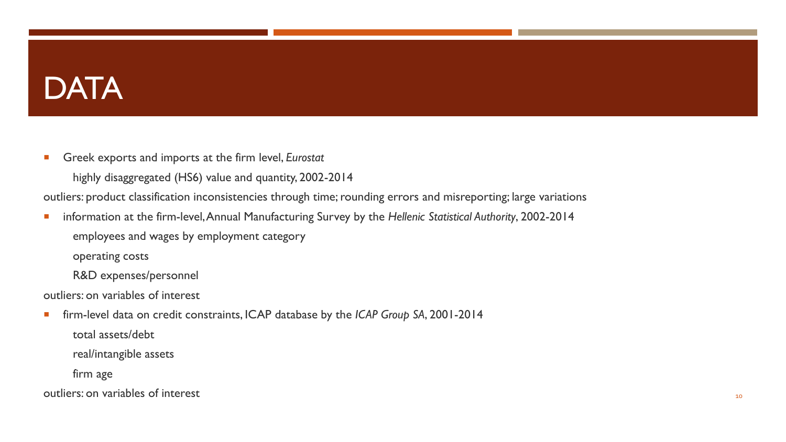#### **DATA**

Greek exports and imports at the firm level, *Eurostat*

highly disaggregated (HS6) value and quantity, 2002-2014

outliers: product classification inconsistencies through time; rounding errors and misreporting; large variations

 information at the firm-level, Annual Manufacturing Survey by the *Hellenic Statistical Authority*, 2002-2014 employees and wages by employment category

operating costs

R&D expenses/personnel

outliers: on variables of interest

firm-level data on credit constraints, ICAP database by the *ICAP Group SA*, 2001-2014

total assets/debt

real/intangible assets

firm age

outliers: on variables of interest 10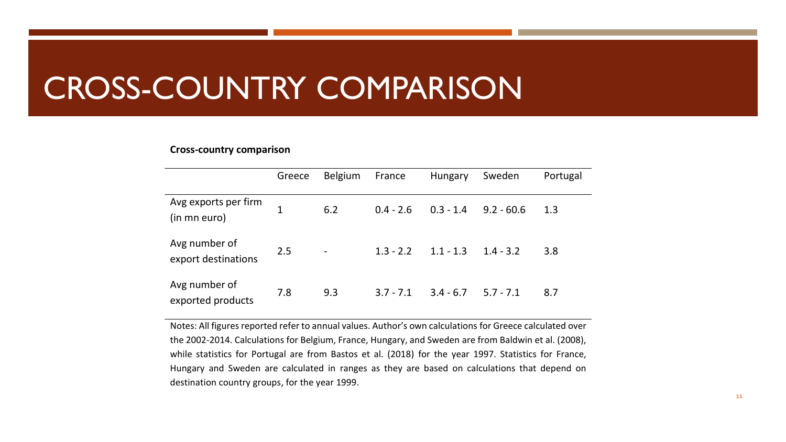#### CROSS-COUNTRY COMPARISON

#### **Cross-country comparison**

|                                      | Greece       | <b>Belgium</b>           | France      | Hungary     | Sweden       | Portugal |
|--------------------------------------|--------------|--------------------------|-------------|-------------|--------------|----------|
| Avg exports per firm<br>(in mn euro) | $\mathbf{1}$ | 6.2                      | $0.4 - 2.6$ | $0.3 - 1.4$ | $9.2 - 60.6$ | 1.3      |
| Avg number of<br>export destinations | 2.5          | $\overline{\phantom{a}}$ | $1.3 - 2.2$ | $1.1 - 1.3$ | $1.4 - 3.2$  | 3.8      |
| Avg number of<br>exported products   | 7.8          | 9.3                      | $3.7 - 7.1$ | $3.4 - 6.7$ | $5.7 - 7.1$  | 8.7      |

Notes: All figures reported refer to annual values. Author's own calculations for Greece calculated over the 2002-2014. Calculations for Belgium, France, Hungary, and Sweden are from Baldwin et al. (2008), while statistics for Portugal are from Bastos et al. (2018) for the year 1997. Statistics for France, Hungary and Sweden are calculated in ranges as they are based on calculations that depend on destination country groups, for the year 1999.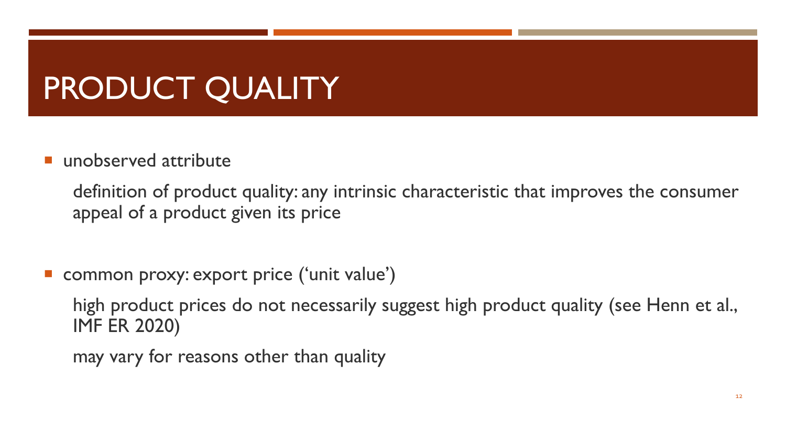# PRODUCT QUALITY

unobserved attribute

definition of product quality: any intrinsic characteristic that improves the consumer appeal of a product given its price

common proxy: export price ('unit value')

high product prices do not necessarily suggest high product quality (see Henn et al., IMF ER 2020)

may vary for reasons other than quality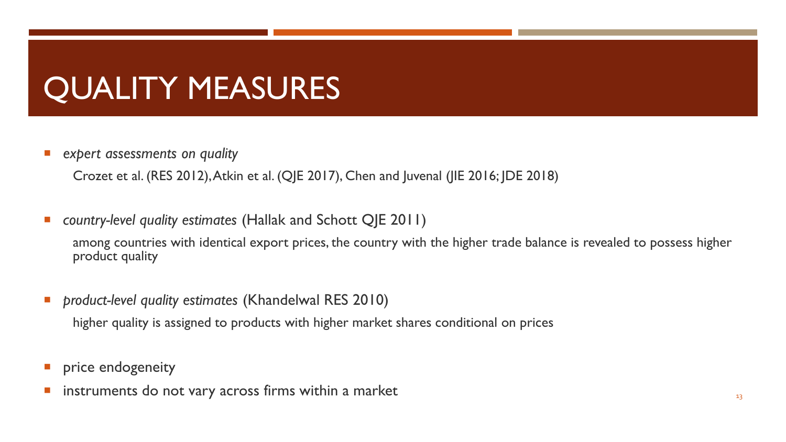#### QUALITY MEASURES

*expert assessments on quality* 

Crozet et al. (RES 2012), Atkin et al. (QJE 2017), Chen and Juvenal (JIE 2016; JDE 2018)

*country-level quality estimates* (Hallak and Schott QJE 2011)

among countries with identical export prices, the country with the higher trade balance is revealed to possess higher product quality

*product-level quality estimates* (Khandelwal RES 2010)

higher quality is assigned to products with higher market shares conditional on prices

- **P** price endogeneity
- instruments do not vary across firms within a market 13 and 13 and 13 and 13 and 13 and 13 and 13 and 13 and 13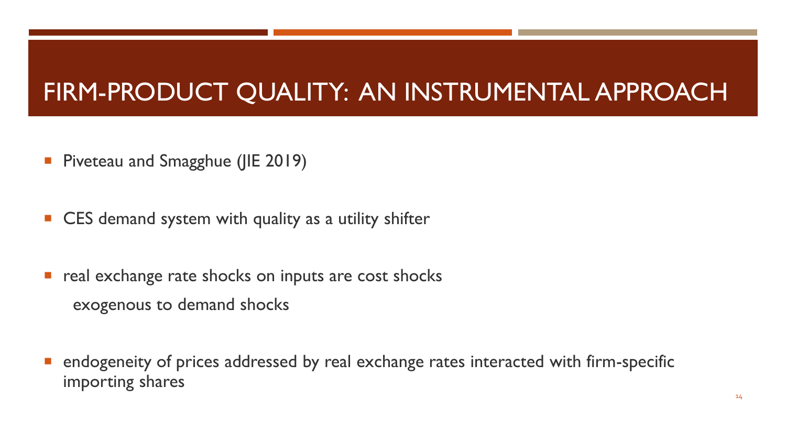#### FIRM-PRODUCT QUALITY: AN INSTRUMENTAL APPROACH

- **Piveteau and Smagghue (JIE 2019)**
- CES demand system with quality as a utility shifter
- real exchange rate shocks on inputs are cost shocks exogenous to demand shocks
- endogeneity of prices addressed by real exchange rates interacted with firm-specific importing shares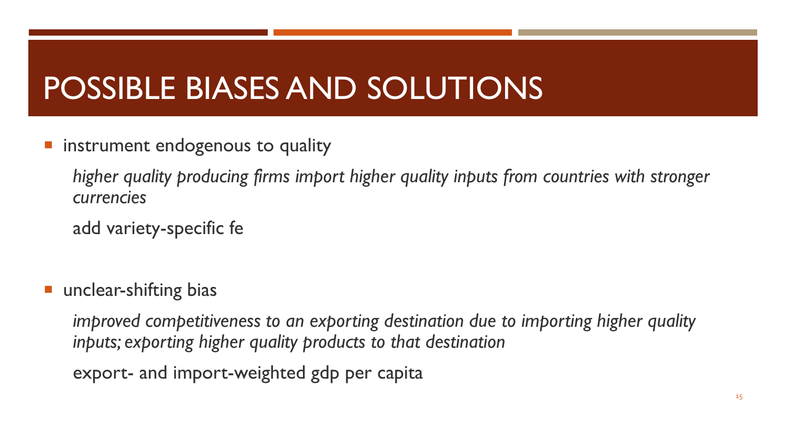#### POSSIBLE BIASES AND SOLUTIONS

instrument endogenous to quality

*higher quality producing firms import higher quality inputs from countries with stronger currencies*

add variety-specific fe

**unclear-shifting bias** 

*improved competitiveness to an exporting destination due to importing higher quality inputs; exporting higher quality products to that destination* 

export- and import-weighted gdp per capita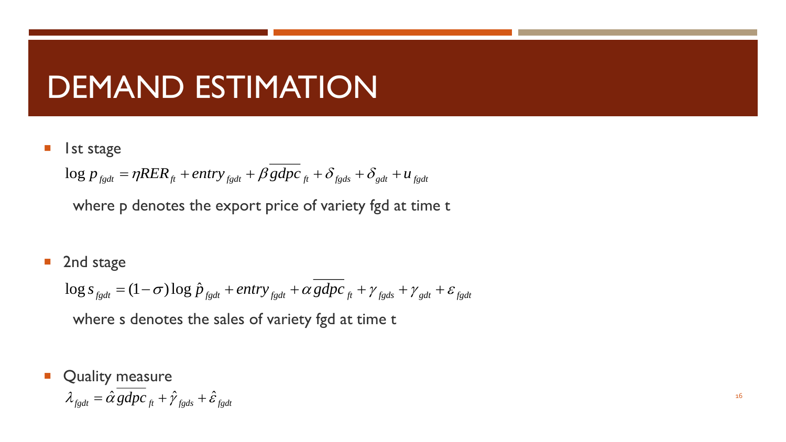#### DEMAND ESTIMATION

1st stage

 $\log p_{\text{fgdt}} = \eta RER_{\text{ft}} + entry_{\text{fgdt}} + \beta gdpc_{\text{ft}} + \delta_{\text{fgds}} + \delta_{\text{gdt}} + u_{\text{fgdt}}$ 

where p denotes the export price of variety fgd at time t

■ 2nd stage

 $f_{gdt} = (1 - \sigma) \log \hat{p}_{fgdt} + entry_{fgdt} + \alpha gdpc_{ft} + \gamma_{fgds} + \gamma_{gdt} + \varepsilon_{fgdt}$  $+$  entry  $_{f\varrho dt}$  +  $\alpha$  gdpc  $_{f\!t}$  +  $\gamma$   $_{f\varrho ds}$  +  $\gamma$   $_{\varrho dt}$  +  $\varepsilon$   $_{f\varrho dt}$ 

where s denotes the sales of variety fgd at time t

Quality measure

$$
\lambda_{fgdt} = \hat{\alpha} gdpc_{ft} + \hat{\gamma}_{fgds} + \hat{\varepsilon}_{fgdt}
$$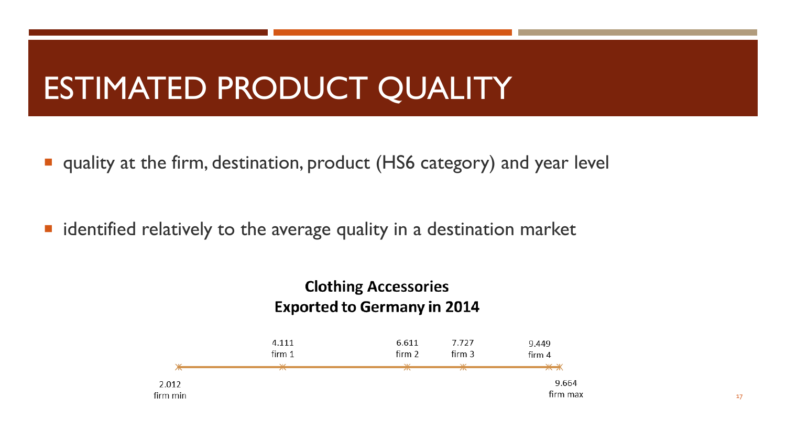#### ESTIMATED PRODUCT QUALITY

■ quality at the firm, destination, product (HS6 category) and year level

**I** identified relatively to the average quality in a destination market

#### **Clothing Accessories Exported to Germany in 2014**

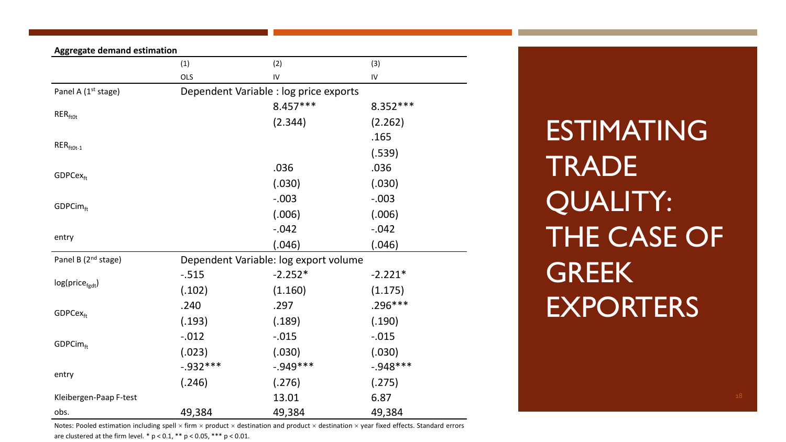| <b>Aggregate demand estimation</b> |             |                                                                                                              |             |
|------------------------------------|-------------|--------------------------------------------------------------------------------------------------------------|-------------|
|                                    | (1)         | (2)                                                                                                          | (3)         |
|                                    | OLS         | ${\sf IV}$                                                                                                   | ${\sf IV}$  |
| Panel A (1 <sup>st</sup> stage)    |             |                                                                                                              |             |
|                                    |             | $8.457***$                                                                                                   | 8.352 ***   |
| $RER_{ft0t}$                       |             | (2.344)                                                                                                      | (2.262)     |
|                                    |             |                                                                                                              | .165        |
| $RER$ <sub>ft0t-1</sub>            |             |                                                                                                              | (.539)      |
|                                    |             | .036                                                                                                         | .036        |
| GDPCex <sub>ft</sub>               |             | (.030)                                                                                                       | (.030)      |
|                                    |             | $-.003$                                                                                                      | $-.003$     |
| GDPCimft                           |             | (.006)                                                                                                       | (.006)      |
|                                    |             | $-0.042$                                                                                                     | $-0.042$    |
| entry                              |             | (.046)                                                                                                       | (.046)      |
| Panel B (2 <sup>nd</sup> stage)    |             |                                                                                                              |             |
|                                    | $-0.515$    | $-2.252*$                                                                                                    | $-2.221*$   |
| $log(price_{\text{født}})$         | (.102)      | (1.160)                                                                                                      | (1.175)     |
| GDPCex <sub>ft</sub>               | .240        | .297                                                                                                         | $.296***$   |
|                                    | (.193)      | (.189)                                                                                                       | (.190)      |
|                                    | $-0.012$    | $-0.015$                                                                                                     | $-0.015$    |
| GDPCimft                           | (.023)      | (.030)                                                                                                       | (.030)      |
|                                    | $-0.932***$ | $-0.949***$                                                                                                  | $-0.948***$ |
| entry                              | (.246)      | Dependent Variable : log price exports<br>Dependent Variable: log export volume<br>(.276)<br>13.01<br>49,384 | (.275)      |
| Kleibergen-Paap F-test             |             |                                                                                                              | 6.87        |
| obs.                               | 49,384      |                                                                                                              | 49,384      |

Notes: Pooled estimation including spell  $\times$  firm  $\times$  product  $\times$  destination and product  $\times$  destination  $\times$  year fixed effects. Standard errors are clustered at the firm level.  $* p < 0.1$ ,  $** p < 0.05$ ,  $*** p < 0.01$ .

ESTIMATING **TRADE** QUALITY: THE CASE OF **GREEK EXPORTERS**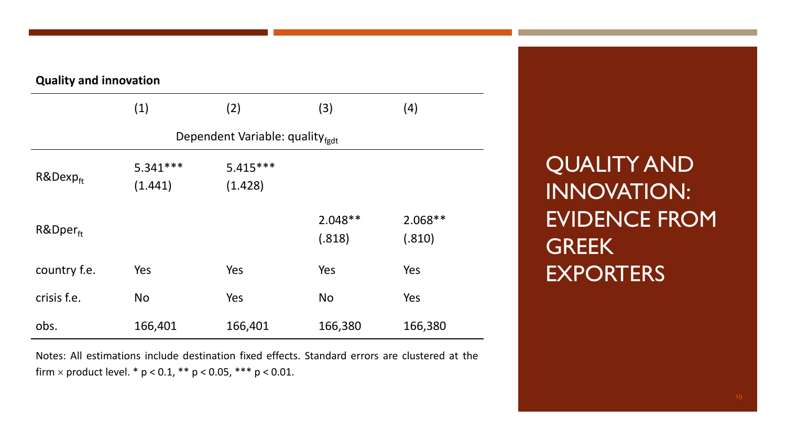| <b>Quality and innovation</b> |                       |                                             |                     |                     |  |  |
|-------------------------------|-----------------------|---------------------------------------------|---------------------|---------------------|--|--|
|                               | (1)                   | (2)                                         | (3)                 | (4)                 |  |  |
|                               |                       | Dependent Variable: quality <sub>fgdt</sub> |                     |                     |  |  |
| $R&Dexp_{ft}$                 | $5.341***$<br>(1.441) | $5.415***$<br>(1.428)                       |                     |                     |  |  |
| $R\&Dper_{ft}$                |                       |                                             | $2.048**$<br>(.818) | $2.068**$<br>(.810) |  |  |
| country f.e.                  | Yes                   | Yes                                         | Yes                 | Yes                 |  |  |
| crisis f.e.                   | <b>No</b>             | Yes                                         | <b>No</b>           | Yes                 |  |  |
| obs.                          | 166,401               | 166,401                                     | 166,380             | 166,380             |  |  |

Notes: All estimations include destination fixed effects. Standard errors are clustered at the firm  $\times$  product level. \* p < 0.1, \*\* p < 0.05, \*\*\* p < 0.01.

QUALITY AND INNOVATION: EVIDENCE FROM **GREEK EXPORTERS**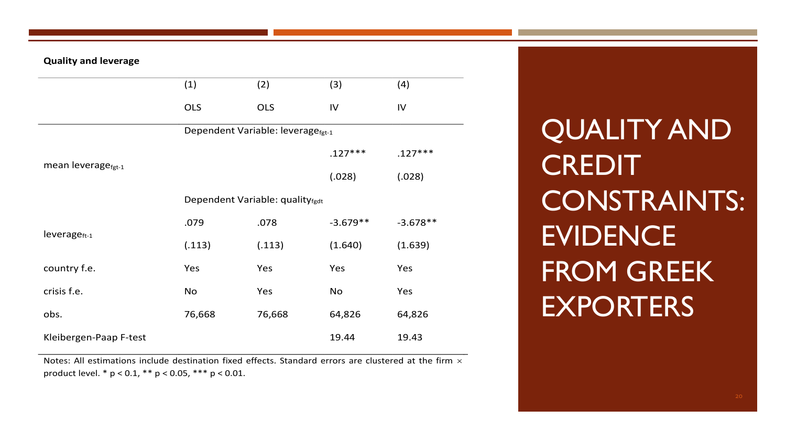#### **Quality and leverage**

|                                | (1)                             | (2)                                           | (3)        | (4)        |  |  |
|--------------------------------|---------------------------------|-----------------------------------------------|------------|------------|--|--|
|                                | <b>OLS</b>                      | <b>OLS</b>                                    | IV         | IV         |  |  |
|                                |                                 | Dependent Variable: leverage <sub>fgt-1</sub> |            |            |  |  |
|                                |                                 |                                               | $.127***$  | $.127***$  |  |  |
| mean leverage <sub>fgt-1</sub> |                                 |                                               | (.028)     | (.028)     |  |  |
|                                | Dependent Variable: qualityfgdt |                                               |            |            |  |  |
|                                | .079                            | .078                                          | $-3.679**$ | $-3.678**$ |  |  |
| $leverage_{ft-1}$              | (.113)                          | (.113)                                        | (1.640)    | (1.639)    |  |  |
| country f.e.                   | Yes                             | Yes                                           | Yes        | Yes        |  |  |
| crisis f.e.                    | No                              | Yes                                           | No         | Yes        |  |  |
| obs.                           | 76,668                          | 76,668                                        | 64,826     | 64,826     |  |  |
| Kleibergen-Paap F-test         |                                 |                                               | 19.44      | 19.43      |  |  |

Notes: All estimations include destination fixed effects. Standard errors are clustered at the firm  $\times$ product level. \* p < 0.1, \*\* p < 0.05, \*\*\* p < 0.01.

QUALITY AND **CREDIT** CONSTRAINTS: **EVIDENCE** FROM GREEK **EXPORTERS**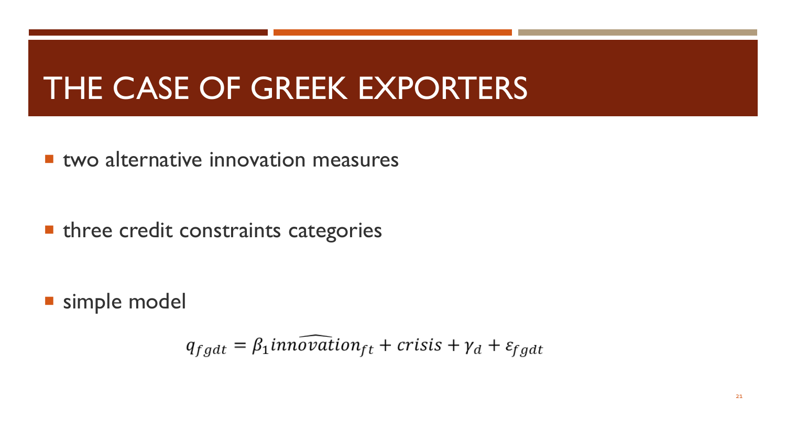#### THE CASE OF GREEK EXPORTERS

**E** two alternative innovation measures

**• three credit constraints categories** 

simple model

$$
q_{fgdt} = \beta_1 \overrightarrow{innovation}_{ft} + \overrightarrow{crisis} + \gamma_d + \varepsilon_{fgdt}
$$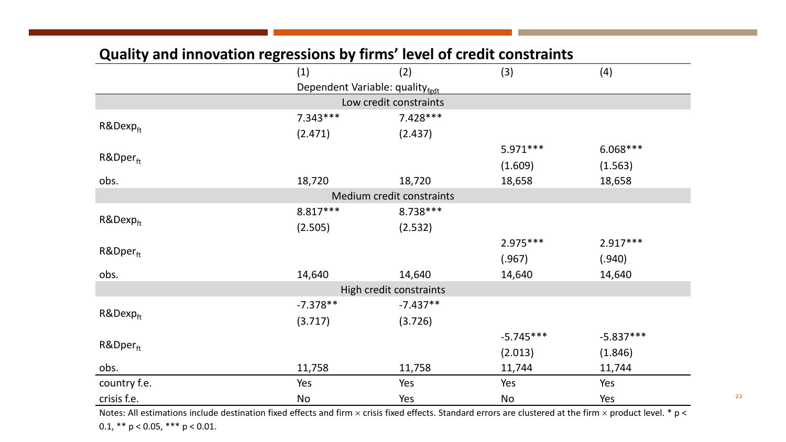|                         | aan'i ana mpotatron regressions ay mms<br>(1) | (2)                             | (3)         | (4)         |  |  |  |
|-------------------------|-----------------------------------------------|---------------------------------|-------------|-------------|--|--|--|
|                         |                                               | Dependent Variable: qualityfgdt |             |             |  |  |  |
| Low credit constraints  |                                               |                                 |             |             |  |  |  |
| $R&Dexp_{ft}$           | $7.343***$                                    | $7.428***$                      |             |             |  |  |  |
|                         | (2.471)                                       | (2.437)                         |             |             |  |  |  |
|                         |                                               |                                 | $5.971***$  | $6.068***$  |  |  |  |
| R&Dperft                |                                               |                                 | (1.609)     | (1.563)     |  |  |  |
| obs.                    | 18,720                                        | 18,720                          | 18,658      | 18,658      |  |  |  |
|                         |                                               | Medium credit constraints       |             |             |  |  |  |
|                         | 8.817***                                      | 8.738 ***                       |             |             |  |  |  |
| $R&Dexp_{ft}$           | (2.505)                                       | (2.532)                         |             |             |  |  |  |
|                         |                                               |                                 | 2.975 ***   | $2.917***$  |  |  |  |
| R&Dperft                |                                               |                                 | (.967)      | (.940)      |  |  |  |
| obs.                    | 14,640                                        | 14,640                          | 14,640      | 14,640      |  |  |  |
| High credit constraints |                                               |                                 |             |             |  |  |  |
|                         | $-7.378**$                                    | $-7.437**$                      |             |             |  |  |  |
| R&Dexpft                | (3.717)                                       | (3.726)                         |             |             |  |  |  |
|                         |                                               |                                 | $-5.745***$ | $-5.837***$ |  |  |  |
| R&Dper <sub>ft</sub>    |                                               |                                 | (2.013)     | (1.846)     |  |  |  |
| obs.                    | 11,758                                        | 11,758                          | 11,744      | 11,744      |  |  |  |
| country f.e.            | Yes                                           | Yes                             | Yes         | Yes         |  |  |  |
| crisis f.e.             | No                                            | Yes                             | No          | Yes         |  |  |  |

#### **Quality and innovation regressions by firms' level of credit constraints**

Notes: All estimations include destination fixed effects and firm  $\times$  crisis fixed effects. Standard errors are clustered at the firm  $\times$  product level.  $*$  p < 0.1,  $** p < 0.05$ ,  $*** p < 0.01$ .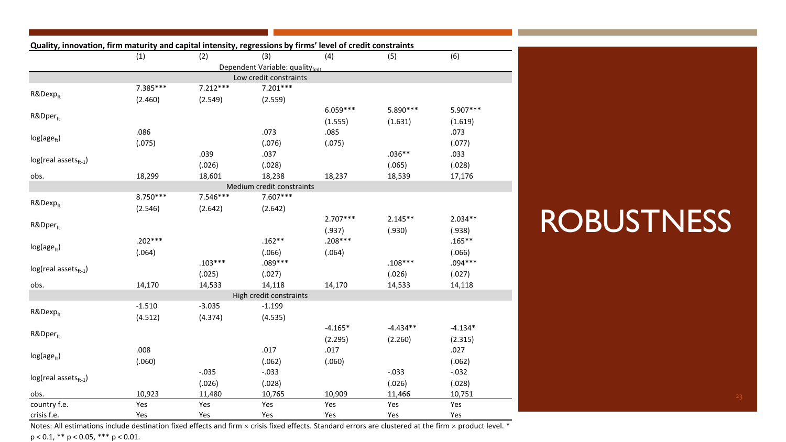| Quality, innovation, firm maturity and capital intensity, regressions by firms' level of credit constraints | (1)       | (2)        | (3)                             | (4)        | (5)        | (6)       |
|-------------------------------------------------------------------------------------------------------------|-----------|------------|---------------------------------|------------|------------|-----------|
|                                                                                                             |           |            | Dependent Variable: qualityfedt |            |            |           |
|                                                                                                             |           |            | Low credit constraints          |            |            |           |
|                                                                                                             | 7.385***  | $7.212***$ | $7.201***$                      |            |            |           |
| $R&Dexp_{ft}$                                                                                               | (2.460)   | (2.549)    | (2.559)                         |            |            |           |
|                                                                                                             |           |            |                                 | $6.059***$ | 5.890 ***  | 5.907***  |
| R&Dper <sub>ft</sub>                                                                                        |           |            |                                 | (1.555)    | (1.631)    | (1.619)   |
|                                                                                                             | .086      |            | .073                            | .085       |            | .073      |
| $log(age_{ft})$                                                                                             | (.075)    |            | (.076)                          | (.075)     |            | (.077)    |
|                                                                                                             |           | .039       | .037                            |            | $.036**$   | .033      |
| log(real assets <sub>ft-1</sub> )                                                                           |           | (.026)     | (.028)                          |            | (.065)     | (.028)    |
| obs.                                                                                                        | 18,299    | 18,601     | 18,238                          | 18,237     | 18,539     | 17,176    |
|                                                                                                             |           |            | Medium credit constraints       |            |            |           |
|                                                                                                             | 8.750 *** | 7.546***   | 7.607***                        |            |            |           |
| $R&Dexp_{ft}$                                                                                               | (2.546)   | (2.642)    | (2.642)                         |            |            |           |
|                                                                                                             |           |            |                                 | $2.707***$ | $2.145**$  | $2.034**$ |
| R&Dperft                                                                                                    |           |            |                                 | (.937)     | (.930)     | (.938)    |
|                                                                                                             | $.202***$ |            | $.162**$                        | .208***    |            | $.165***$ |
| $log(age_{ft})$                                                                                             | (.064)    |            | (.066)                          | (.064)     |            | (.066)    |
|                                                                                                             |           | $.103***$  | .089 ***                        |            | $.108***$  | .094 ***  |
| $log(real assets_{ft-1})$                                                                                   |           | (.025)     | (.027)                          |            | (.026)     | (.027)    |
| obs.                                                                                                        | 14,170    | 14,533     | 14,118                          | 14,170     | 14,533     | 14,118    |
|                                                                                                             |           |            | High credit constraints         |            |            |           |
|                                                                                                             | $-1.510$  | $-3.035$   | $-1.199$                        |            |            |           |
| R&Dexpft                                                                                                    | (4.512)   | (4.374)    | (4.535)                         |            |            |           |
|                                                                                                             |           |            |                                 | $-4.165*$  | $-4.434**$ | $-4.134*$ |
| R&Dper <sub>ft</sub>                                                                                        |           |            |                                 | (2.295)    | (2.260)    | (2.315)   |
|                                                                                                             | .008      |            | .017                            | .017       |            | .027      |
| $log(age_{ft})$                                                                                             | (.060)    |            | (.062)                          | (.060)     |            | (.062)    |
|                                                                                                             |           | $-.035$    | $-.033$                         |            | $-.033$    | $-.032$   |
| $log(real assets_{ft-1})$                                                                                   |           | (.026)     | (.028)                          |            | (.026)     | (.028)    |
| obs.                                                                                                        | 10,923    | 11,480     | 10,765                          | 10,909     | 11,466     | 10,751    |
| country f.e.                                                                                                | Yes       | Yes        | Yes                             | Yes        | Yes        | Yes       |
| crisis f.e.                                                                                                 | Yes       | Yes        | Yes                             | Yes        | Yes        | Yes       |

**ROBUSTNESS** 

Notes: All estimations include destination fixed effects and firm  $\times$  crisis fixed effects. Standard errors are clustered at the firm  $\times$  product level.  $*$ p < 0.1, \*\* p < 0.05, \*\*\* p < 0.01.